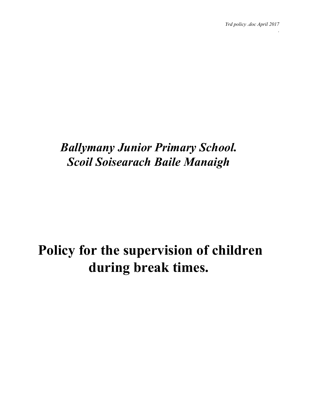*.*

# *Ballymany Junior Primary School. Scoil Soisearach Baile Manaigh*

# **Policy for the supervision of children during break times.**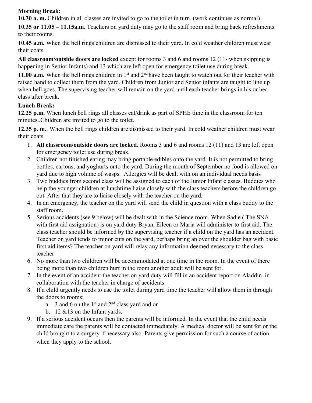#### **Morning Break:**

**10.30 a. m.** Children in all classes are invited to go to the toilet in turn. (work continues as normal)

**10.35 or 11.05 – 11.15a.m.** Teachers on yard duty may go to the staff room and bring back refreshments to their rooms.

**10.45 a.m.** When the bell rings children are dismissed to their yard. In cold weather children must wear their coats.

**All classroom/outside doors are locked** except for rooms 3 and 6 and rooms 12 (11- when skipping is happening in Senior Infants) and 13 which are left open for emergency toilet use during break.

**11.00 a.m.** When the bell rings children in  $1<sup>st</sup>$  and  $2<sup>nd</sup>$  have been taught to watch out for their teacher with raised hand to collect them from the yard. Children from Junior and Senior infants are taught to line up when bell goes. The supervising teacher will remain on the yard until each teacher brings in his or her class after break.

## **Lunch Break:**

**12.25 p.m.** When lunch bell rings all classes eat/drink as part of SPHE time in the classroom for ten minutes..Children are invited to go to the toilet.

**12.35 p. m.**. When the bell rings children are dismissed to their yard. In cold weather children must wear their coats.

- 1. **All classroom/outside doors are locked.** Rooms 3 and 6 and rooms 12 (11) and 13 are left open for emergency toilet use during break.
- 2. Children not finished eating may bring portable edibles onto the yard. It is not permitted to bring bottles, cartons, and yoghurts onto the yard. During the month of September no food is allowed on yard due to high volume of wasps. Allergies will be dealt with on an individual needs basis
- 3. Two buddies from second class will be assigned to each of the Junior Infant classes. Buddies who help the younger children at lunchtime liaise closely with the class teachers before the children go out. After that they are to liaise closely with the teacher on the yard.
- 4. In an emergency, the teacher on the yard will send the child in question with a class buddy to the staff room.
- 5. Serious accidents (see 9 below) will be dealt with in the Science room. When Sadie ( The SNA with first aid assignation) is on yard duty Bryan, Eileen or Maria will administer to first aid. The class teacher should be informed by the supervising teacher if a child on the yard has an accident. Teacher on yard tends to minor cuts on the yard, perhaps bring an over the shoulder bag with basic first aid items? The teacher on yard will relay any information deemed necessary to the class teacher
- 6. No more than two children will be accommodated at one time in the room. In the event of there being more than two children hurt in the room another adult will be sent for.
- 7. In the event of an accident the teacher on yard duty will fill in an accident report on Aladdin in collaboration with the teacher in charge of accidents.
- 8. If a child urgently needs to use the toilet during yard time the teacher will allow them in through the doors to rooms:
	- a. 3 and 6 on the  $1<sup>st</sup>$  and  $2<sup>nd</sup>$  class yard and or
	- b.  $12 \& 13$  on the Infant yards.
- 9. If a serious accident occurs then the parents will be informed. In the event that the child needs immediate care the parents will be contacted immediately. A medical doctor will be sent for or the child brought to a surgery if necessary also. Parents give permission for such a course of action when they apply to the school.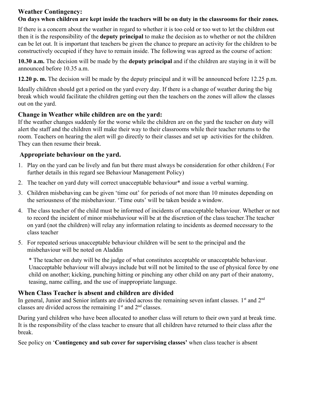# **Weather Contingency:**

#### On days when children are kept inside the teachers will be on duty in the classrooms for their zones.

If there is a concern about the weather in regard to whether it is too cold or too wet to let the children out then it is the responsibility of the **deputy principal** to make the decision as to whether or not the children can be let out. It is important that teachers be given the chance to prepare an activity for the children to be constructively occupied if they have to remain inside. The following was agreed as the course of action:

**10.30 a.m.** The decision will be made by the **deputy principal** and if the children are staying in it will be announced before 10.35 a.m.

**12.20 p. m.** The decision will be made by the deputy principal and it will be announced before 12.25 p.m.

Ideally children should get a period on the yard every day. If there is a change of weather during the big break which would facilitate the children getting out then the teachers on the zones will allow the classes out on the yard.

#### **Change in Weather while children are on the yard:**

If the weather changes suddenly for the worse while the children are on the yard the teacher on duty will alert the staff and the children will make their way to their classrooms while their teacher returns to the room. Teachers on hearing the alert will go directly to their classes and set up activities for the children. They can then resume their break.

#### **Appropriate behaviour on the yard.**

- 1. Play on the yard can be lively and fun but there must always be consideration for other children.( For further details in this regard see Behaviour Management Policy)
- 2. The teacher on yard duty will correct unacceptable behaviour\* and issue a verbal warning.
- 3. Children misbehaving can be given 'time out' for periods of not more than 10 minutes depending on the seriousness of the misbehaviour. 'Time outs' will be taken beside a window.
- 4. The class teacher of the child must be informed of incidents of unacceptable behaviour. Whether or not to record the incident of minor misbehaviour will be at the discretion of the class teacher.The teacher on yard (not the children) will relay any information relating to incidents as deemed necessary to the class teacher
- 5. For repeated serious unacceptable behaviour children will be sent to the principal and the misbehaviour will be noted on Aladdin

\* The teacher on duty will be the judge of what constitutes acceptable or unacceptable behaviour. Unacceptable behaviour will always include but will not be limited to the use of physical force by one child on another; kicking, punching hitting or pinching any other child on any part of their anatomy, teasing, name calling, and the use of inappropriate language.

#### **When Class Teacher is absent and children are divided**

In general, Junior and Senior infants are divided across the remaining seven infant classes. 1<sup>st</sup> and 2<sup>nd</sup> classes are divided across the remaining  $1<sup>st</sup>$  and  $2<sup>nd</sup>$  classes.

During yard children who have been allocated to another class will return to their own yard at break time. It is the responsibility of the class teacher to ensure that all children have returned to their class after the break.

See policy on '**Contingency and sub cover for supervising classes'** when class teacher is absent